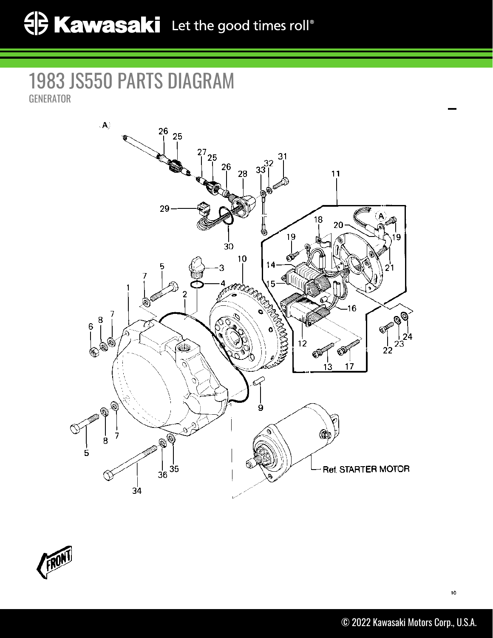## 1983 JS550 PARTS DIAGRAM GENERATOR



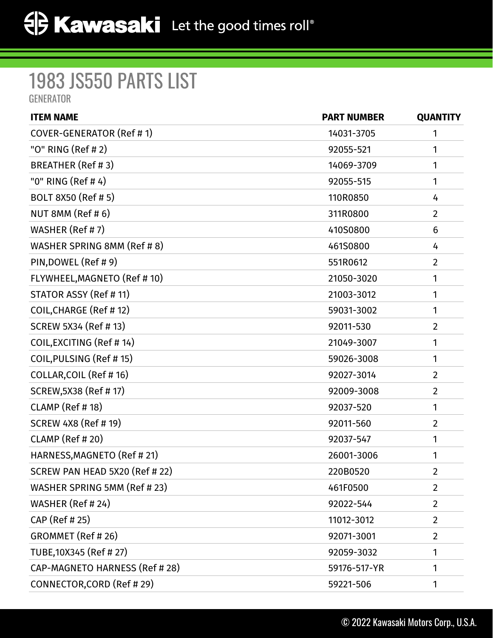## 1983 JS550 PARTS LIST GENERATOR

| <b>ITEM NAME</b>               | <b>PART NUMBER</b> | <b>QUANTITY</b> |
|--------------------------------|--------------------|-----------------|
| COVER-GENERATOR (Ref #1)       | 14031-3705         | 1               |
| "O" RING (Ref # 2)             | 92055-521          | 1               |
| BREATHER (Ref #3)              | 14069-3709         | 1               |
| "0" RING (Ref #4)              | 92055-515          | 1               |
| BOLT 8X50 (Ref # 5)            | 110R0850           | 4               |
| NUT 8MM (Ref #6)               | 311R0800           | $\overline{2}$  |
| WASHER (Ref # 7)               | 410S0800           | 6               |
| WASHER SPRING 8MM (Ref # 8)    | 461S0800           | 4               |
| PIN, DOWEL (Ref # 9)           | 551R0612           | $\overline{2}$  |
| FLYWHEEL, MAGNETO (Ref # 10)   | 21050-3020         | 1               |
| STATOR ASSY (Ref # 11)         | 21003-3012         | 1               |
| COIL, CHARGE (Ref #12)         | 59031-3002         | 1               |
| SCREW 5X34 (Ref # 13)          | 92011-530          | $\overline{2}$  |
| COIL, EXCITING (Ref #14)       | 21049-3007         | 1               |
| COIL, PULSING (Ref #15)        | 59026-3008         | 1               |
| COLLAR, COIL (Ref # 16)        | 92027-3014         | $\overline{2}$  |
| SCREW, 5X38 (Ref # 17)         | 92009-3008         | $\overline{2}$  |
| CLAMP (Ref # 18)               | 92037-520          | 1               |
| <b>SCREW 4X8 (Ref # 19)</b>    | 92011-560          | $\overline{2}$  |
| CLAMP (Ref # 20)               | 92037-547          | 1               |
| HARNESS, MAGNETO (Ref #21)     | 26001-3006         | 1               |
| SCREW PAN HEAD 5X20 (Ref # 22) | 220B0520           | 2               |
| WASHER SPRING 5MM (Ref # 23)   | 461F0500           | $\overline{2}$  |
| WASHER (Ref # 24)              | 92022-544          | $\overline{2}$  |
| CAP (Ref # 25)                 | 11012-3012         | $\overline{2}$  |
| GROMMET (Ref #26)              | 92071-3001         | $\overline{2}$  |
| TUBE,10X345 (Ref # 27)         | 92059-3032         | 1               |
| CAP-MAGNETO HARNESS (Ref # 28) | 59176-517-YR       | 1               |
| CONNECTOR, CORD (Ref # 29)     | 59221-506          | 1               |